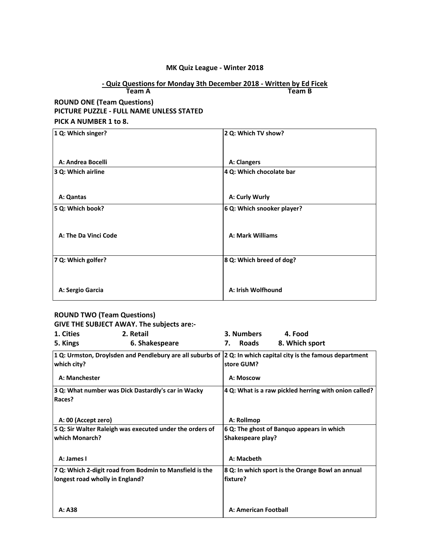### **MK Quiz League - Winter 2018**

#### **Team A Team B - Quiz Questions for Monday 3th December 2018 - Written by Ed Ficek**

### **ROUND ONE (Team Questions) PICTURE PUZZLE - FULL NAME UNLESS STATED PICK A NUMBER 1 to 8.**

| 1 Q: Which singer?   | 2 Q: Which TV show?        |
|----------------------|----------------------------|
| A: Andrea Bocelli    | A: Clangers                |
| 3 Q: Which airline   | 4 Q: Which chocolate bar   |
| A: Qantas            | A: Curly Wurly             |
| 5 Q: Which book?     | 6 Q: Which snooker player? |
| A: The Da Vinci Code | <b>A: Mark Williams</b>    |
| 7 Q: Which golfer?   | 8 Q: Which breed of dog?   |
|                      |                            |
| A: Sergio Garcia     | A: Irish Wolfhound         |

### **ROUND TWO (Team Questions)**

### **GIVE THE SUBJECT AWAY. The subjects are:-**

| 1. Cities                       | 2. Retail                                                                                                      |    | 3. Numbers               | 4. Food                                               |
|---------------------------------|----------------------------------------------------------------------------------------------------------------|----|--------------------------|-------------------------------------------------------|
| 5. Kings                        | 6. Shakespeare                                                                                                 | 7. | <b>Roads</b>             | 8. Which sport                                        |
| which city?                     | 1 Q: Urmston, Droylsden and Pendlebury are all suburbs of  2 Q: In which capital city is the famous department |    | store GUM?               |                                                       |
| A: Manchester                   |                                                                                                                |    | A: Moscow                |                                                       |
| Races?                          | 3 Q: What number was Dick Dastardly's car in Wacky                                                             |    |                          | 4 Q: What is a raw pickled herring with onion called? |
| A: 00 (Accept zero)             |                                                                                                                |    | A: Rollmop               |                                                       |
|                                 | 5 Q: Sir Walter Raleigh was executed under the orders of                                                       |    |                          | 6 Q: The ghost of Banquo appears in which             |
| which Monarch?                  |                                                                                                                |    | <b>Shakespeare play?</b> |                                                       |
| A: James I                      |                                                                                                                |    | A: Macbeth               |                                                       |
|                                 | 7 Q: Which 2-digit road from Bodmin to Mansfield is the                                                        |    |                          | 8 Q: In which sport is the Orange Bowl an annual      |
| longest road wholly in England? |                                                                                                                |    | fixture?                 |                                                       |
| A: A38                          |                                                                                                                |    | A: American Football     |                                                       |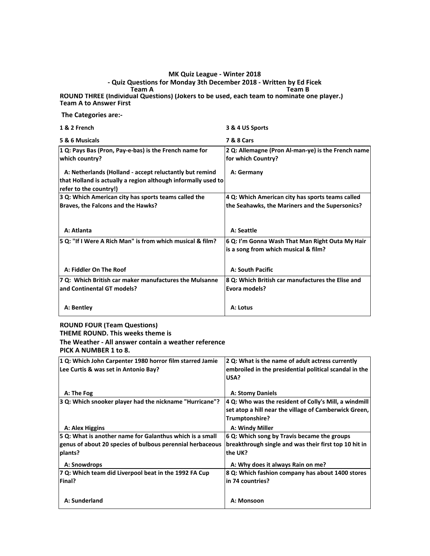#### **Team A Team B ROUND THREE (Individual Questions) (Jokers to be used, each team to nominate one player.) Team A to Answer First - Quiz Questions for Monday 3th December 2018 - Written by Ed Ficek MK Quiz League - Winter 2018**

### **The Categories are:-**

| 1 & 2 French                                                  | 3 & 4 US Sports                                                                         |
|---------------------------------------------------------------|-----------------------------------------------------------------------------------------|
| 5 & 6 Musicals                                                | <b>7 &amp; 8 Cars</b>                                                                   |
| 1 Q: Pays Bas (Pron, Pay-e-bas) is the French name for        | 2 Q: Allemagne (Pron Al-man-ye) is the French name                                      |
| which country?                                                | for which Country?                                                                      |
| A: Netherlands (Holland - accept reluctantly but remind       | A: Germany                                                                              |
| that Holland is actually a region although informally used to |                                                                                         |
| refer to the country!)                                        |                                                                                         |
| 3 Q: Which American city has sports teams called the          | 4 Q: Which American city has sports teams called                                        |
| Braves, the Falcons and the Hawks?                            | the Seahawks, the Mariners and the Supersonics?                                         |
| A: Atlanta                                                    | A: Seattle                                                                              |
| 5 Q: "If I Were A Rich Man" is from which musical & film?     | 6 Q: I'm Gonna Wash That Man Right Outa My Hair<br>is a song from which musical & film? |
| A: Fiddler On The Roof                                        | A: South Pacific                                                                        |
| 7 Q: Which British car maker manufactures the Mulsanne        | 8 Q: Which British car manufactures the Elise and                                       |
| and Continental GT models?                                    | Evora models?                                                                           |
| A: Bentley                                                    | A: Lotus                                                                                |

### **ROUND FOUR (Team Questions)**

**THEME ROUND. This weeks theme is**

**PICK A NUMBER 1 to 8.**

| 1 Q: Which John Carpenter 1980 horror film starred Jamie  | 2 Q: What is the name of adult actress currently       |
|-----------------------------------------------------------|--------------------------------------------------------|
| Lee Curtis & was set in Antonio Bay?                      | embroiled in the presidential political scandal in the |
|                                                           | USA?                                                   |
|                                                           |                                                        |
| A: The Fog                                                | A: Stomy Daniels                                       |
| 3 Q: Which snooker player had the nickname "Hurricane"?   | 4 Q: Who was the resident of Colly's Mill, a windmill  |
|                                                           | set atop a hill near the village of Camberwick Green,  |
|                                                           | Trumptonshire?                                         |
| A: Alex Higgins                                           | A: Windy Miller                                        |
| 5 Q: What is another name for Galanthus which is a small  | 6 Q: Which song by Travis became the groups            |
| genus of about 20 species of bulbous perennial herbaceous | breakthrough single and was their first top 10 hit in  |
| plants?                                                   | the UK?                                                |
| A: Snowdrops                                              | A: Why does it always Rain on me?                      |
|                                                           |                                                        |
| 7 Q: Which team did Liverpool beat in the 1992 FA Cup     | 8 Q: Which fashion company has about 1400 stores       |
| Final?                                                    | in 74 countries?                                       |
|                                                           |                                                        |
| A: Sunderland                                             | A: Monsoon                                             |

**The Weather - All answer contain a weather reference**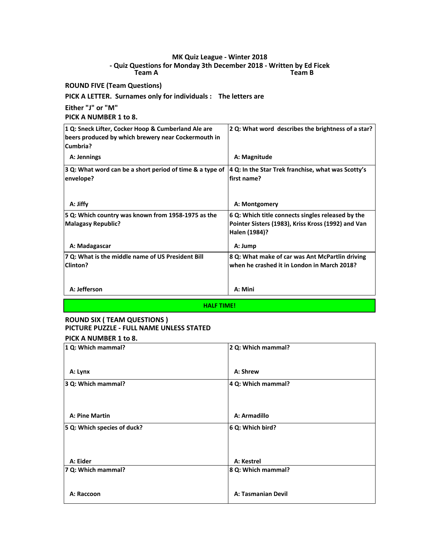#### **Team A Team B - Quiz Questions for Monday 3th December 2018 - Written by Ed Ficek MK Quiz League - Winter 2018**

**ROUND FIVE (Team Questions)**

**PICK A LETTER. Surnames only for individuals : The letters are**

**Either "J" or "M"**

**PICK A NUMBER 1 to 8.**

| 1 Q: Sneck Lifter, Cocker Hoop & Cumberland Ale are      | 2 Q: What word describes the brightness of a star? |
|----------------------------------------------------------|----------------------------------------------------|
| beers produced by which brewery near Cockermouth in      |                                                    |
| Cumbria?                                                 |                                                    |
| A: Jennings                                              | A: Magnitude                                       |
| 3 Q: What word can be a short period of time & a type of | 4 Q: In the Star Trek franchise, what was Scotty's |
| envelope?                                                | first name?                                        |
|                                                          |                                                    |
| A: Jiffy                                                 | A: Montgomery                                      |
| 5 Q: Which country was known from 1958-1975 as the       | 6 Q: Which title connects singles released by the  |
| <b>Malagasy Republic?</b>                                | Pointer Sisters (1983), Kriss Kross (1992) and Van |
|                                                          | Halen (1984)?                                      |
| A: Madagascar                                            | A: Jump                                            |
| 7 Q: What is the middle name of US President Bill        | 8 Q: What make of car was Ant McPartlin driving    |
| Clinton?                                                 | when he crashed it in London in March 2018?        |
|                                                          |                                                    |
|                                                          |                                                    |
| A: Jefferson                                             | A: Mini                                            |
|                                                          |                                                    |

**HALF TIME!**

### **ROUND SIX ( TEAM QUESTIONS ) PICTURE PUZZLE - FULL NAME UNLESS STATED**

#### **PICK A NUMBER 1 to 8.**

| 1 Q: Which mammal?          | 2 Q: Which mammal? |
|-----------------------------|--------------------|
| A: Lynx                     | A: Shrew           |
| 3 Q: Which mammal?          | 4 Q: Which mammal? |
|                             |                    |
| A: Pine Martin              | A: Armadillo       |
| 5 Q: Which species of duck? | 6 Q: Which bird?   |
|                             |                    |
| A: Eider                    | A: Kestrel         |
| 7 Q: Which mammal?          | 8 Q: Which mammal? |
|                             |                    |
| A: Raccoon                  | A: Tasmanian Devil |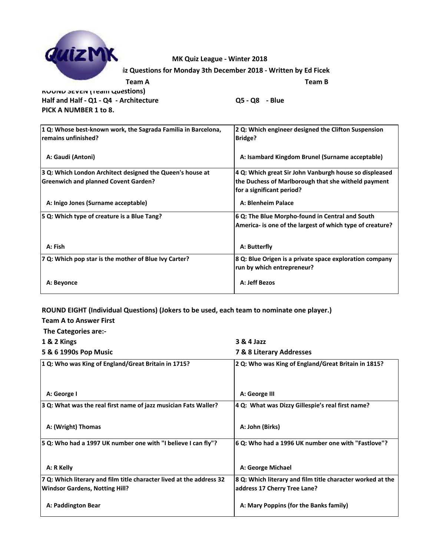

**PICK A NUMBER 1 to 8.**

## **MK Quiz League - Winter 2018**

**- Quiz Questions for Monday 3th December 2018 - Written by Ed Ficek**

**Team A Team B ROUND SEVEN (Team Questions)**

**Half and Half - Q1 - Q4 - Architecture Q5 - Q8 - Blue**

| 1 Q: Whose best-known work, the Sagrada Familia in Barcelona,<br>remains unfinished? | 2 Q: Which engineer designed the Clifton Suspension<br>Bridge?                                               |
|--------------------------------------------------------------------------------------|--------------------------------------------------------------------------------------------------------------|
| A: Gaudi (Antoni)                                                                    | A: Isambard Kingdom Brunel (Surname acceptable)                                                              |
| 3 Q: Which London Architect designed the Queen's house at                            | 4 Q: Which great Sir John Vanburgh house so displeased                                                       |
| <b>Greenwich and planned Covent Garden?</b>                                          | the Duchess of Marlborough that she witheld payment<br>for a significant period?                             |
| A: Inigo Jones (Surname acceptable)                                                  | A: Blenheim Palace                                                                                           |
| 5 Q: Which type of creature is a Blue Tang?                                          | 6 Q: The Blue Morpho-found in Central and South<br>America- is one of the largest of which type of creature? |
| A: Fish                                                                              | A: Butterfly                                                                                                 |
| 7 Q: Which pop star is the mother of Blue Ivy Carter?                                | 8 Q: Blue Origen is a private space exploration company<br>run by which entrepreneur?                        |
| A: Beyonce                                                                           | A: Jeff Bezos                                                                                                |

### **ROUND EIGHT (Individual Questions) (Jokers to be used, each team to nominate one player.)**

| <b>Team A to Answer First</b>                                        |                                                            |
|----------------------------------------------------------------------|------------------------------------------------------------|
| The Categories are:-                                                 |                                                            |
| 1 & 2 Kings                                                          | 3 & 4 Jazz                                                 |
| 5 & 6 1990s Pop Music                                                | 7 & 8 Literary Addresses                                   |
| 1 Q: Who was King of England/Great Britain in 1715?                  | 2 Q: Who was King of England/Great Britain in 1815?        |
| A: George I                                                          | A: George III                                              |
| 3 Q: What was the real first name of jazz musician Fats Waller?      | 4 Q: What was Dizzy Gillespie's real first name?           |
| A: (Wright) Thomas                                                   | A: John (Birks)                                            |
| 5 Q: Who had a 1997 UK number one with "I believe I can fly"?        | 6 Q: Who had a 1996 UK number one with "Fastlove"?         |
| A: R Kelly                                                           | A: George Michael                                          |
| 7 Q: Which literary and film title character lived at the address 32 | 8 Q: Which literary and film title character worked at the |
| <b>Windsor Gardens, Notting Hill?</b>                                | address 17 Cherry Tree Lane?                               |
| A: Paddington Bear                                                   | A: Mary Poppins (for the Banks family)                     |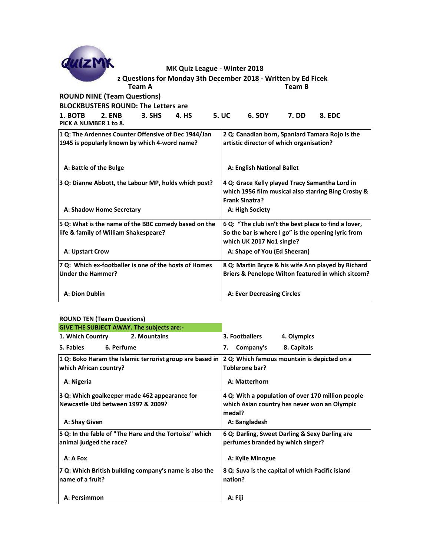

### **MK Quiz League - Winter 2018**

**Team A Team B - Quiz Questions for Monday 3th December 2018 - Written by Ed Ficek**

**ROUND NINE (Team Questions)**

**BLOCKBUSTERS ROUND: The Letters are**

|                                                                                                      | BLOCKBUSTERS ROUND: The Letters are                   |        |       |              |                                          |              |                                                                                                       |
|------------------------------------------------------------------------------------------------------|-------------------------------------------------------|--------|-------|--------------|------------------------------------------|--------------|-------------------------------------------------------------------------------------------------------|
| 1. BOTB<br>PICK A NUMBER 1 to 8.                                                                     | <b>2. ENB</b>                                         | 3. SHS | 4. HS | <b>5. UC</b> | 6. SOY                                   | <b>7. DD</b> | 8. EDC                                                                                                |
| 1 Q: The Ardennes Counter Offensive of Dec 1944/Jan<br>1945 is popularly known by which 4-word name? |                                                       |        |       |              | artistic director of which organisation? |              | 2 Q: Canadian born, Spaniard Tamara Rojo is the                                                       |
| A: Battle of the Bulge                                                                               |                                                       |        |       |              | A: English National Ballet               |              |                                                                                                       |
| 3 Q: Dianne Abbott, the Labour MP, holds which post?                                                 |                                                       |        |       |              | <b>Frank Sinatra?</b>                    |              | 4 Q: Grace Kelly played Tracy Samantha Lord in<br>which 1956 film musical also starring Bing Crosby & |
|                                                                                                      | A: Shadow Home Secretary                              |        |       |              | A: High Society                          |              |                                                                                                       |
| 5 Q: What is the name of the BBC comedy based on the                                                 |                                                       |        |       |              |                                          |              | 6 Q: "The club isn't the best place to find a lover,                                                  |
| life & family of William Shakespeare?                                                                |                                                       |        |       |              | which UK 2017 No1 single?                |              | So the bar is where I go" is the opening lyric from                                                   |
| A: Upstart Crow                                                                                      |                                                       |        |       |              | A: Shape of You (Ed Sheeran)             |              |                                                                                                       |
|                                                                                                      | 7 Q: Which ex-footballer is one of the hosts of Homes |        |       |              |                                          |              | 8 Q: Martin Bryce & his wife Ann played by Richard                                                    |

**Briers & Penelope Wilton featured in which sitcom?**

 **A: Dion Dublin A: Ever Decreasing Circles**

**Under the Hammer?**

| ROUND TEN (Team Questions)                                                                            |                                                   |
|-------------------------------------------------------------------------------------------------------|---------------------------------------------------|
| GIVE THE SUBJECT AWAY. The subjects are:-                                                             |                                                   |
| 1. Which Country<br>2. Mountains                                                                      | 3. Footballers<br>4. Olympics                     |
| 5. Fables<br>6. Perfume                                                                               | Company's<br>8. Capitals<br>7.                    |
| 1 Q: Boko Haram the Islamic terrorist group are based in  2 Q: Which famous mountain is depicted on a |                                                   |
| which African country?                                                                                | Toblerone bar?                                    |
| A: Nigeria                                                                                            | A: Matterhorn                                     |
| 3 Q: Which goalkeeper made 462 appearance for                                                         | 4 Q: With a population of over 170 million people |
| Newcastle Utd between 1997 & 2009?                                                                    | which Asian country has never won an Olympic      |
|                                                                                                       | medal?                                            |
| A: Shay Given                                                                                         | A: Bangladesh                                     |
| 5 Q: In the fable of "The Hare and the Tortoise" which                                                | 6 Q: Darling, Sweet Darling & Sexy Darling are    |
| animal judged the race?                                                                               | perfumes branded by which singer?                 |
|                                                                                                       |                                                   |
| A: A Fox                                                                                              | A: Kylie Minogue                                  |
| 7 Q: Which British building company's name is also the                                                | 8 Q: Suva is the capital of which Pacific island  |
| name of a fruit?                                                                                      | nation?                                           |
|                                                                                                       |                                                   |
| A: Persimmon                                                                                          | A: Fiji                                           |

### **ROUND TEN (Team Questions)**